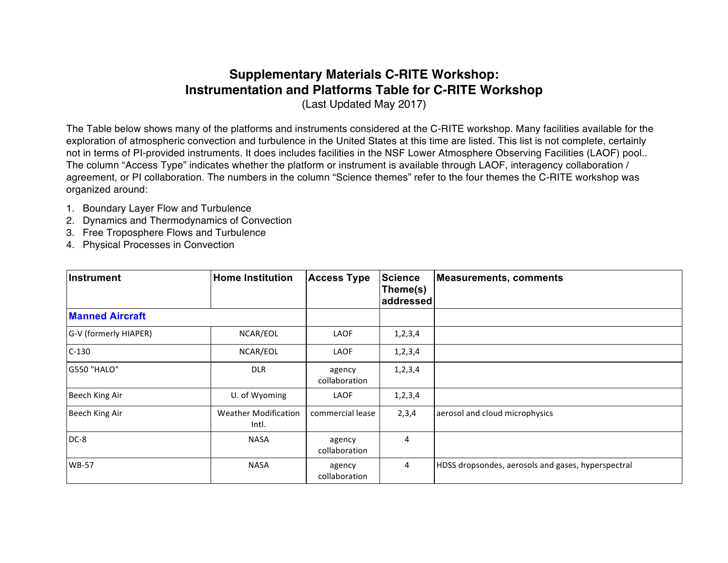## **Supplementary Materials C-RITE Workshop: Instrumentation and Platforms Table for C-RITE Workshop**

(Last Updated May 2017)

The Table below shows many of the platforms and instruments considered at the C-RITE workshop. Many facilities available for the exploration of atmospheric convection and turbulence in the United States at this time are listed. This list is not complete, certainly not in terms of PI-provided instruments. It does includes facilities in the NSF Lower Atmosphere Observing Facilities (LAOF) pool.. The column "Access Type" indicates whether the platform or instrument is available through LAOF, interagency collaboration / agreement, or PI collaboration. The numbers in the column "Science themes" refer to the four themes the C-RITE workshop was organized around:

- 1. Boundary Layer Flow and Turbulence
- 2. Dynamics and Thermodynamics of Convection
- 3. Free Troposphere Flows and Turbulence
- 4. Physical Processes in Convection

| Instrument             | <b>Home Institution</b>              | <b>Access Type</b>      | Science<br>Theme(s)<br>addressed | Measurements, comments                             |
|------------------------|--------------------------------------|-------------------------|----------------------------------|----------------------------------------------------|
| <b>Manned Aircraft</b> |                                      |                         |                                  |                                                    |
| G-V (formerly HIAPER)  | NCAR/EOL                             | LAOF                    | 1, 2, 3, 4                       |                                                    |
| $C-130$                | NCAR/EOL                             | LAOF                    | 1,2,3,4                          |                                                    |
| G550 "HALO"            | <b>DLR</b>                           | agency<br>collaboration | 1,2,3,4                          |                                                    |
| Beech King Air         | U. of Wyoming                        | LAOF                    | 1,2,3,4                          |                                                    |
| Beech King Air         | <b>Weather Modification</b><br>Intl. | commercial lease        | 2,3,4                            | aerosol and cloud microphysics                     |
| $DC-8$                 | <b>NASA</b>                          | agency<br>collaboration | 4                                |                                                    |
| <b>WB-57</b>           | <b>NASA</b>                          | agency<br>collaboration | $\overline{4}$                   | HDSS dropsondes, aerosols and gases, hyperspectral |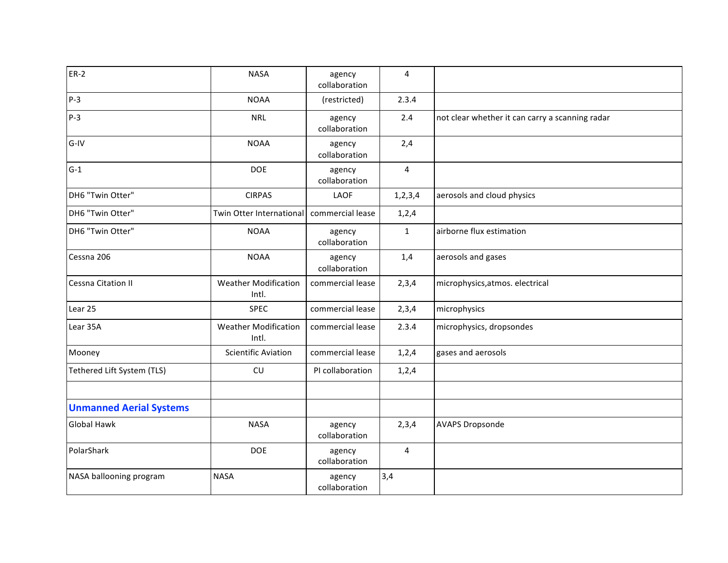| $ER-2$                         | <b>NASA</b>                          | agency<br>collaboration | $\overline{4}$ |                                                 |
|--------------------------------|--------------------------------------|-------------------------|----------------|-------------------------------------------------|
| $P-3$                          | <b>NOAA</b>                          | (restricted)            | 2.3.4          |                                                 |
| $P-3$                          | <b>NRL</b>                           | agency<br>collaboration | 2.4            | not clear whether it can carry a scanning radar |
| $G-IV$                         | <b>NOAA</b>                          | agency<br>collaboration | 2,4            |                                                 |
| $G-1$                          | <b>DOE</b>                           | agency<br>collaboration | $\overline{4}$ |                                                 |
| DH6 "Twin Otter"               | <b>CIRPAS</b>                        | LAOF                    | 1, 2, 3, 4     | aerosols and cloud physics                      |
| DH6 "Twin Otter"               | Twin Otter International             | commercial lease        | 1,2,4          |                                                 |
| DH6 "Twin Otter"               | <b>NOAA</b>                          | agency<br>collaboration | $\mathbf{1}$   | airborne flux estimation                        |
| Cessna 206                     | <b>NOAA</b>                          | agency<br>collaboration | 1,4            | aerosols and gases                              |
| <b>Cessna Citation II</b>      | <b>Weather Modification</b><br>Intl. | commercial lease        | 2,3,4          | microphysics, atmos. electrical                 |
| Lear 25                        | <b>SPEC</b>                          | commercial lease        | 2,3,4          | microphysics                                    |
| Lear 35A                       | <b>Weather Modification</b><br>Intl. | commercial lease        | 2.3.4          | microphysics, dropsondes                        |
| Mooney                         | <b>Scientific Aviation</b>           | commercial lease        | 1,2,4          | gases and aerosols                              |
| Tethered Lift System (TLS)     | CU                                   | PI collaboration        | 1,2,4          |                                                 |
|                                |                                      |                         |                |                                                 |
| <b>Unmanned Aerial Systems</b> |                                      |                         |                |                                                 |
| <b>Global Hawk</b>             | <b>NASA</b>                          | agency<br>collaboration | 2,3,4          | <b>AVAPS Dropsonde</b>                          |
| PolarShark                     | <b>DOE</b>                           | agency<br>collaboration | $\overline{4}$ |                                                 |
| NASA ballooning program        | <b>NASA</b>                          | agency<br>collaboration | 3,4            |                                                 |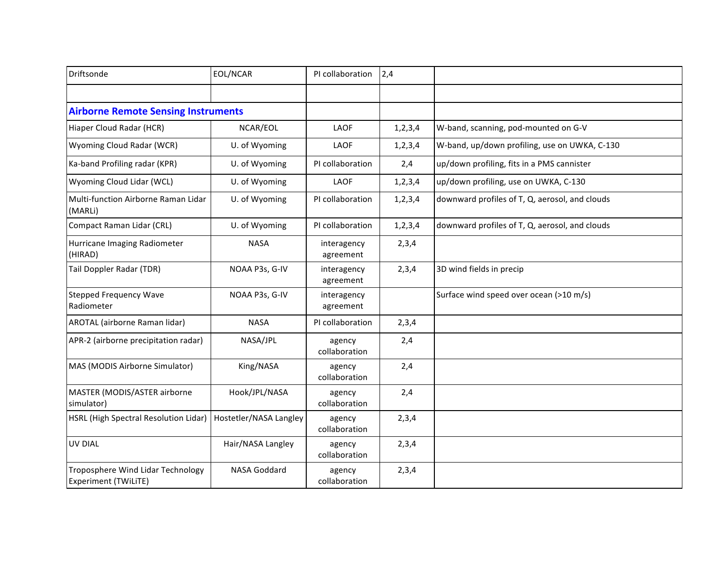| Driftsonde                                                       | EOL/NCAR               | PI collaboration         | 2,4        |                                                |
|------------------------------------------------------------------|------------------------|--------------------------|------------|------------------------------------------------|
|                                                                  |                        |                          |            |                                                |
| <b>Airborne Remote Sensing Instruments</b>                       |                        |                          |            |                                                |
| Hiaper Cloud Radar (HCR)                                         | NCAR/EOL               | LAOF                     | 1, 2, 3, 4 | W-band, scanning, pod-mounted on G-V           |
| Wyoming Cloud Radar (WCR)                                        | U. of Wyoming          | LAOF                     | 1, 2, 3, 4 | W-band, up/down profiling, use on UWKA, C-130  |
| Ka-band Profiling radar (KPR)                                    | U. of Wyoming          | PI collaboration         | 2,4        | up/down profiling, fits in a PMS cannister     |
| Wyoming Cloud Lidar (WCL)                                        | U. of Wyoming          | LAOF                     | 1, 2, 3, 4 | up/down profiling, use on UWKA, C-130          |
| Multi-function Airborne Raman Lidar<br>(MARLi)                   | U. of Wyoming          | PI collaboration         | 1, 2, 3, 4 | downward profiles of T, Q, aerosol, and clouds |
| Compact Raman Lidar (CRL)                                        | U. of Wyoming          | PI collaboration         | 1, 2, 3, 4 | downward profiles of T, Q, aerosol, and clouds |
| Hurricane Imaging Radiometer<br>(HIRAD)                          | <b>NASA</b>            | interagency<br>agreement | 2,3,4      |                                                |
| Tail Doppler Radar (TDR)                                         | NOAA P3s, G-IV         | interagency<br>agreement | 2,3,4      | 3D wind fields in precip                       |
| <b>Stepped Frequency Wave</b><br>Radiometer                      | NOAA P3s, G-IV         | interagency<br>agreement |            | Surface wind speed over ocean (>10 m/s)        |
| AROTAL (airborne Raman lidar)                                    | <b>NASA</b>            | PI collaboration         | 2,3,4      |                                                |
| APR-2 (airborne precipitation radar)                             | NASA/JPL               | agency<br>collaboration  | 2,4        |                                                |
| MAS (MODIS Airborne Simulator)                                   | King/NASA              | agency<br>collaboration  | 2,4        |                                                |
| MASTER (MODIS/ASTER airborne<br>simulator)                       | Hook/JPL/NASA          | agency<br>collaboration  | 2,4        |                                                |
| HSRL (High Spectral Resolution Lidar)                            | Hostetler/NASA Langley | agency<br>collaboration  | 2,3,4      |                                                |
| UV DIAL                                                          | Hair/NASA Langley      | agency<br>collaboration  | 2,3,4      |                                                |
| Troposphere Wind Lidar Technology<br><b>Experiment (TWiLiTE)</b> | NASA Goddard           | agency<br>collaboration  | 2,3,4      |                                                |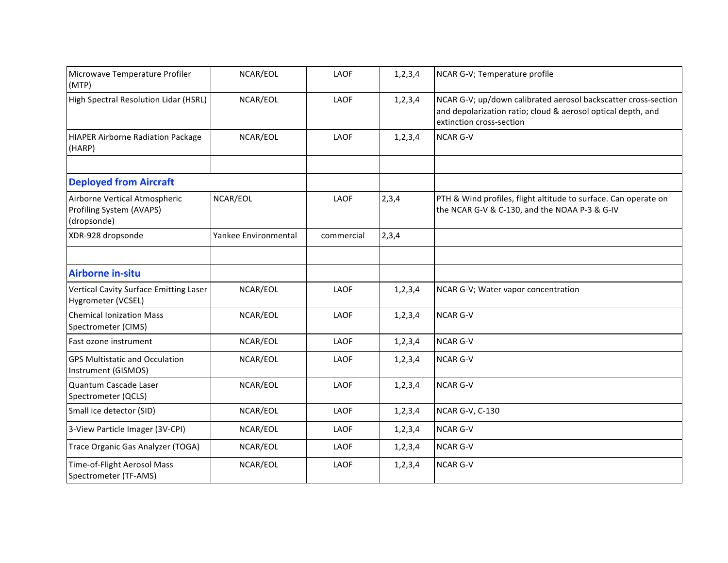| Microwave Temperature Profiler<br>(MTP)                                  | NCAR/EOL             | LAOF       | 1, 2, 3, 4 | NCAR G-V; Temperature profile                                                                                                                              |
|--------------------------------------------------------------------------|----------------------|------------|------------|------------------------------------------------------------------------------------------------------------------------------------------------------------|
| High Spectral Resolution Lidar (HSRL)                                    | NCAR/EOL             | LAOF       | 1, 2, 3, 4 | NCAR G-V; up/down calibrated aerosol backscatter cross-section<br>and depolarization ratio; cloud & aerosol optical depth, and<br>extinction cross-section |
| <b>HIAPER Airborne Radiation Package</b><br>(HARP)                       | NCAR/EOL             | LAOF       | 1, 2, 3, 4 | <b>NCAR G-V</b>                                                                                                                                            |
|                                                                          |                      |            |            |                                                                                                                                                            |
| <b>Deployed from Aircraft</b>                                            |                      |            |            |                                                                                                                                                            |
| Airborne Vertical Atmospheric<br>Profiling System (AVAPS)<br>(dropsonde) | NCAR/EOL             | LAOF       | 2,3,4      | PTH & Wind profiles, flight altitude to surface. Can operate on<br>the NCAR G-V & C-130, and the NOAA P-3 & G-IV                                           |
| XDR-928 dropsonde                                                        | Yankee Environmental | commercial | 2,3,4      |                                                                                                                                                            |
|                                                                          |                      |            |            |                                                                                                                                                            |
| <b>Airborne in-situ</b>                                                  |                      |            |            |                                                                                                                                                            |
| <b>Vertical Cavity Surface Emitting Laser</b><br>Hygrometer (VCSEL)      | NCAR/EOL             | LAOF       | 1, 2, 3, 4 | NCAR G-V; Water vapor concentration                                                                                                                        |
| <b>Chemical Ionization Mass</b><br>Spectrometer (CIMS)                   | NCAR/EOL             | LAOF       | 1, 2, 3, 4 | <b>NCAR G-V</b>                                                                                                                                            |
| Fast ozone instrument                                                    | NCAR/EOL             | LAOF       | 1, 2, 3, 4 | <b>NCAR G-V</b>                                                                                                                                            |
| <b>GPS Multistatic and Occulation</b><br>Instrument (GISMOS)             | NCAR/EOL             | LAOF       | 1, 2, 3, 4 | <b>NCAR G-V</b>                                                                                                                                            |
| Quantum Cascade Laser<br>Spectrometer (QCLS)                             | NCAR/EOL             | LAOF       | 1, 2, 3, 4 | <b>NCAR G-V</b>                                                                                                                                            |
| Small ice detector (SID)                                                 | NCAR/EOL             | LAOF       | 1, 2, 3, 4 | <b>NCAR G-V, C-130</b>                                                                                                                                     |
| 3-View Particle Imager (3V-CPI)                                          | NCAR/EOL             | LAOF       | 1, 2, 3, 4 | <b>NCAR G-V</b>                                                                                                                                            |
| Trace Organic Gas Analyzer (TOGA)                                        | NCAR/EOL             | LAOF       | 1, 2, 3, 4 | <b>NCAR G-V</b>                                                                                                                                            |
| Time-of-Flight Aerosol Mass<br>Spectrometer (TF-AMS)                     | NCAR/EOL             | LAOF       | 1, 2, 3, 4 | <b>NCAR G-V</b>                                                                                                                                            |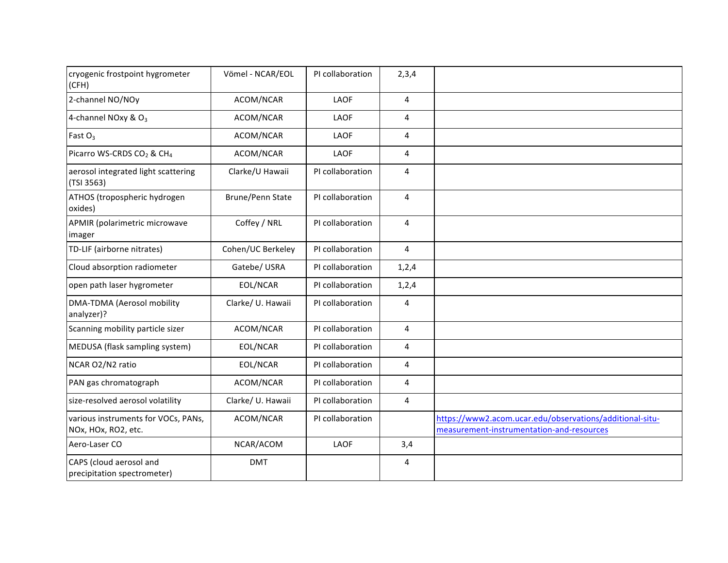| cryogenic frostpoint hygrometer<br>(CFH)                   | Vömel - NCAR/EOL        | PI collaboration | 2,3,4                   |                                                                                                       |
|------------------------------------------------------------|-------------------------|------------------|-------------------------|-------------------------------------------------------------------------------------------------------|
| 2-channel NO/NOy                                           | ACOM/NCAR               | LAOF             | 4                       |                                                                                                       |
| 4-channel NOxy & O <sub>3</sub>                            | ACOM/NCAR               | LAOF             | 4                       |                                                                                                       |
| Fast $O_3$                                                 | ACOM/NCAR               | LAOF             | 4                       |                                                                                                       |
| Picarro WS-CRDS CO <sub>2</sub> & CH <sub>4</sub>          | ACOM/NCAR               | LAOF             | 4                       |                                                                                                       |
| aerosol integrated light scattering<br>(TSI 3563)          | Clarke/U Hawaii         | PI collaboration | 4                       |                                                                                                       |
| ATHOS (tropospheric hydrogen<br>oxides)                    | <b>Brune/Penn State</b> | PI collaboration | 4                       |                                                                                                       |
| APMIR (polarimetric microwave<br>imager                    | Coffey / NRL            | PI collaboration | 4                       |                                                                                                       |
| TD-LIF (airborne nitrates)                                 | Cohen/UC Berkeley       | PI collaboration | 4                       |                                                                                                       |
| Cloud absorption radiometer                                | Gatebe/USRA             | PI collaboration | 1, 2, 4                 |                                                                                                       |
| open path laser hygrometer                                 | EOL/NCAR                | PI collaboration | 1,2,4                   |                                                                                                       |
| DMA-TDMA (Aerosol mobility<br>analyzer)?                   | Clarke/ U. Hawaii       | PI collaboration | 4                       |                                                                                                       |
| Scanning mobility particle sizer                           | ACOM/NCAR               | PI collaboration | $\overline{\mathbf{4}}$ |                                                                                                       |
| MEDUSA (flask sampling system)                             | EOL/NCAR                | PI collaboration | 4                       |                                                                                                       |
| NCAR O2/N2 ratio                                           | EOL/NCAR                | PI collaboration | 4                       |                                                                                                       |
| PAN gas chromatograph                                      | ACOM/NCAR               | PI collaboration | 4                       |                                                                                                       |
| size-resolved aerosol volatility                           | Clarke/ U. Hawaii       | PI collaboration | $\overline{\mathbf{4}}$ |                                                                                                       |
| various instruments for VOCs, PANs,<br>NOx, HOx, RO2, etc. | ACOM/NCAR               | PI collaboration |                         | https://www2.acom.ucar.edu/observations/additional-situ-<br>measurement-instrumentation-and-resources |
| Aero-Laser CO                                              | NCAR/ACOM               | LAOF             | 3,4                     |                                                                                                       |
| CAPS (cloud aerosol and<br>precipitation spectrometer)     | <b>DMT</b>              |                  | 4                       |                                                                                                       |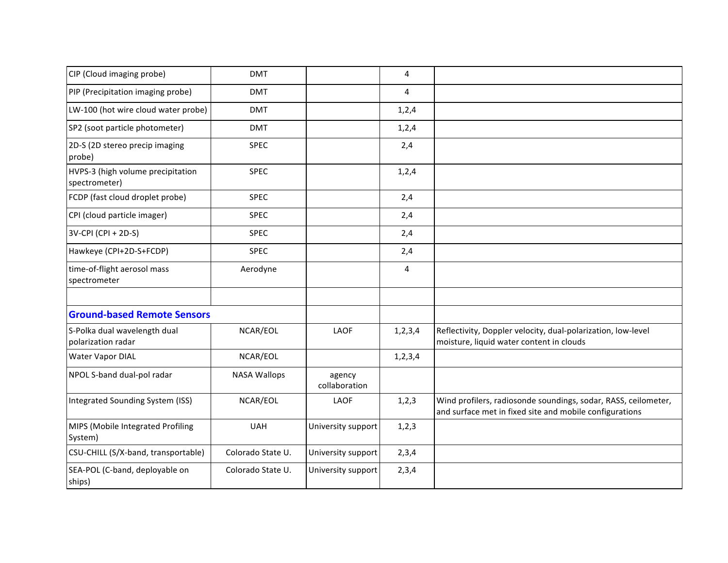| CIP (Cloud imaging probe)                          | <b>DMT</b>          |                         | 4          |                                                                                                                           |
|----------------------------------------------------|---------------------|-------------------------|------------|---------------------------------------------------------------------------------------------------------------------------|
| PIP (Precipitation imaging probe)                  | <b>DMT</b>          |                         | 4          |                                                                                                                           |
| LW-100 (hot wire cloud water probe)                | <b>DMT</b>          |                         | 1,2,4      |                                                                                                                           |
| SP2 (soot particle photometer)                     | <b>DMT</b>          |                         | 1, 2, 4    |                                                                                                                           |
| 2D-S (2D stereo precip imaging<br>probe)           | <b>SPEC</b>         |                         | 2,4        |                                                                                                                           |
| HVPS-3 (high volume precipitation<br>spectrometer) | <b>SPEC</b>         |                         | 1,2,4      |                                                                                                                           |
| FCDP (fast cloud droplet probe)                    | <b>SPEC</b>         |                         | 2,4        |                                                                                                                           |
| CPI (cloud particle imager)                        | <b>SPEC</b>         |                         | 2,4        |                                                                                                                           |
| 3V-CPI (CPI + 2D-S)                                | <b>SPEC</b>         |                         | 2,4        |                                                                                                                           |
| Hawkeye (CPI+2D-S+FCDP)                            | <b>SPEC</b>         |                         | 2,4        |                                                                                                                           |
| time-of-flight aerosol mass<br>spectrometer        | Aerodyne            |                         | 4          |                                                                                                                           |
|                                                    |                     |                         |            |                                                                                                                           |
| <b>Ground-based Remote Sensors</b>                 |                     |                         |            |                                                                                                                           |
| S-Polka dual wavelength dual<br>polarization radar | NCAR/EOL            | LAOF                    | 1, 2, 3, 4 | Reflectivity, Doppler velocity, dual-polarization, low-level<br>moisture, liquid water content in clouds                  |
| <b>Water Vapor DIAL</b>                            | NCAR/EOL            |                         | 1, 2, 3, 4 |                                                                                                                           |
| NPOL S-band dual-pol radar                         | <b>NASA Wallops</b> | agency<br>collaboration |            |                                                                                                                           |
| Integrated Sounding System (ISS)                   | NCAR/EOL            | LAOF                    | 1, 2, 3    | Wind profilers, radiosonde soundings, sodar, RASS, ceilometer,<br>and surface met in fixed site and mobile configurations |
| MIPS (Mobile Integrated Profiling<br>System)       | <b>UAH</b>          | University support      | 1, 2, 3    |                                                                                                                           |
| CSU-CHILL (S/X-band, transportable)                | Colorado State U.   | University support      | 2,3,4      |                                                                                                                           |
| SEA-POL (C-band, deployable on<br>ships)           | Colorado State U.   | University support      | 2,3,4      |                                                                                                                           |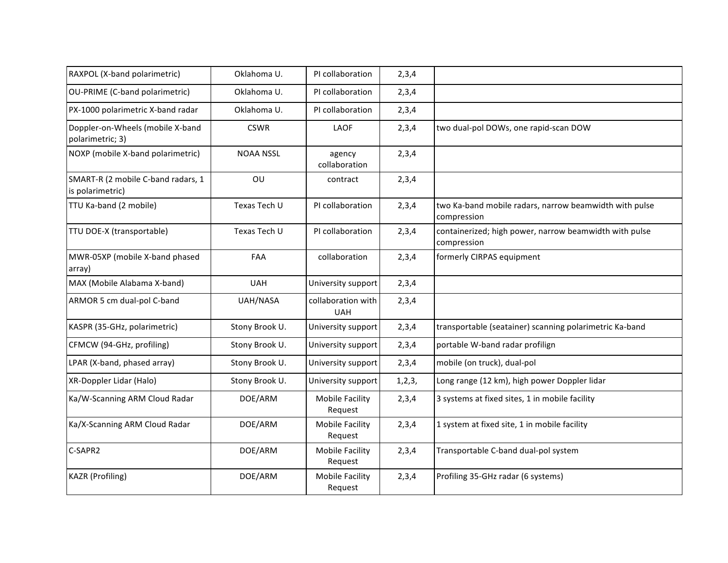| RAXPOL (X-band polarimetric)                           | Oklahoma U.      | PI collaboration                  | 2,3,4    |                                                                       |
|--------------------------------------------------------|------------------|-----------------------------------|----------|-----------------------------------------------------------------------|
| OU-PRIME (C-band polarimetric)                         | Oklahoma U.      | PI collaboration                  | 2,3,4    |                                                                       |
| PX-1000 polarimetric X-band radar                      | Oklahoma U.      | PI collaboration                  | 2,3,4    |                                                                       |
| Doppler-on-Wheels (mobile X-band<br>polarimetric; 3)   | <b>CSWR</b>      | LAOF                              | 2,3,4    | two dual-pol DOWs, one rapid-scan DOW                                 |
| NOXP (mobile X-band polarimetric)                      | <b>NOAA NSSL</b> | agency<br>collaboration           | 2,3,4    |                                                                       |
| SMART-R (2 mobile C-band radars, 1<br>is polarimetric) | OU               | contract                          | 2,3,4    |                                                                       |
| TTU Ka-band (2 mobile)                                 | Texas Tech U     | PI collaboration                  | 2,3,4    | two Ka-band mobile radars, narrow beamwidth with pulse<br>compression |
| TTU DOE-X (transportable)                              | Texas Tech U     | PI collaboration                  | 2,3,4    | containerized; high power, narrow beamwidth with pulse<br>compression |
| MWR-05XP (mobile X-band phased<br>array)               | FAA              | collaboration                     | 2,3,4    | formerly CIRPAS equipment                                             |
| MAX (Mobile Alabama X-band)                            | <b>UAH</b>       | University support                | 2,3,4    |                                                                       |
| ARMOR 5 cm dual-pol C-band                             | UAH/NASA         | collaboration with<br><b>UAH</b>  | 2,3,4    |                                                                       |
| KASPR (35-GHz, polarimetric)                           | Stony Brook U.   | University support                | 2,3,4    | transportable (seatainer) scanning polarimetric Ka-band               |
| CFMCW (94-GHz, profiling)                              | Stony Brook U.   | University support                | 2,3,4    | portable W-band radar profilign                                       |
| LPAR (X-band, phased array)                            | Stony Brook U.   | University support                | 2,3,4    | mobile (on truck), dual-pol                                           |
| XR-Doppler Lidar (Halo)                                | Stony Brook U.   | University support                | 1, 2, 3, | Long range (12 km), high power Doppler lidar                          |
| Ka/W-Scanning ARM Cloud Radar                          | DOE/ARM          | <b>Mobile Facility</b><br>Request | 2,3,4    | 3 systems at fixed sites, 1 in mobile facility                        |
| Ka/X-Scanning ARM Cloud Radar                          | DOE/ARM          | <b>Mobile Facility</b><br>Request | 2,3,4    | 1 system at fixed site, 1 in mobile facility                          |
| C-SAPR2                                                | DOE/ARM          | <b>Mobile Facility</b><br>Request | 2,3,4    | Transportable C-band dual-pol system                                  |
| <b>KAZR</b> (Profiling)                                | DOE/ARM          | <b>Mobile Facility</b><br>Request | 2,3,4    | Profiling 35-GHz radar (6 systems)                                    |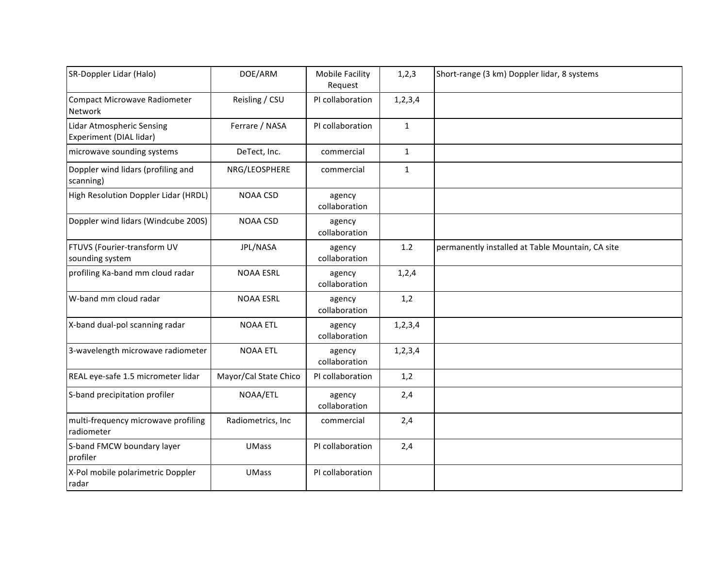| SR-Doppler Lidar (Halo)                                     | DOE/ARM               | <b>Mobile Facility</b><br>Request | 1, 2, 3      | Short-range (3 km) Doppler lidar, 8 systems      |
|-------------------------------------------------------------|-----------------------|-----------------------------------|--------------|--------------------------------------------------|
| <b>Compact Microwave Radiometer</b><br>Network              | Reisling / CSU        | PI collaboration                  | 1, 2, 3, 4   |                                                  |
| <b>Lidar Atmospheric Sensing</b><br>Experiment (DIAL lidar) | Ferrare / NASA        | PI collaboration                  | $\mathbf{1}$ |                                                  |
| microwave sounding systems                                  | DeTect, Inc.          | commercial                        | $\mathbf{1}$ |                                                  |
| Doppler wind lidars (profiling and<br>scanning)             | NRG/LEOSPHERE         | commercial                        | $\mathbf{1}$ |                                                  |
| High Resolution Doppler Lidar (HRDL)                        | <b>NOAA CSD</b>       | agency<br>collaboration           |              |                                                  |
| Doppler wind lidars (Windcube 200S)                         | <b>NOAA CSD</b>       | agency<br>collaboration           |              |                                                  |
| FTUVS (Fourier-transform UV<br>sounding system              | JPL/NASA              | agency<br>collaboration           | 1.2          | permanently installed at Table Mountain, CA site |
| profiling Ka-band mm cloud radar                            | <b>NOAA ESRL</b>      | agency<br>collaboration           | 1,2,4        |                                                  |
| W-band mm cloud radar                                       | <b>NOAA ESRL</b>      | agency<br>collaboration           | 1,2          |                                                  |
| X-band dual-pol scanning radar                              | <b>NOAA ETL</b>       | agency<br>collaboration           | 1, 2, 3, 4   |                                                  |
| 3-wavelength microwave radiometer                           | <b>NOAA ETL</b>       | agency<br>collaboration           | 1, 2, 3, 4   |                                                  |
| REAL eye-safe 1.5 micrometer lidar                          | Mayor/Cal State Chico | PI collaboration                  | 1,2          |                                                  |
| S-band precipitation profiler                               | NOAA/ETL              | agency<br>collaboration           | 2,4          |                                                  |
| multi-frequency microwave profiling<br>radiometer           | Radiometrics, Inc     | commercial                        | 2,4          |                                                  |
| S-band FMCW boundary layer<br>profiler                      | <b>UMass</b>          | PI collaboration                  | 2,4          |                                                  |
| X-Pol mobile polarimetric Doppler<br>radar                  | <b>UMass</b>          | PI collaboration                  |              |                                                  |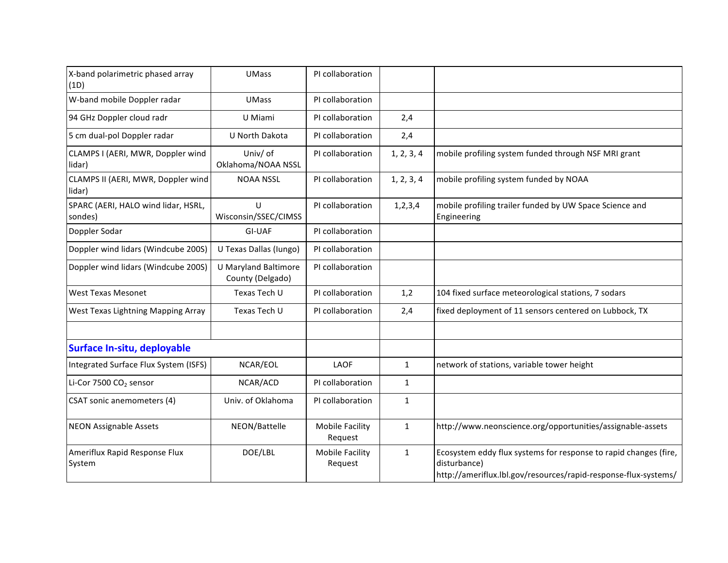| X-band polarimetric phased array<br>(1D)       | <b>UMass</b>                                    | PI collaboration                  |              |                                                                                                                                                     |
|------------------------------------------------|-------------------------------------------------|-----------------------------------|--------------|-----------------------------------------------------------------------------------------------------------------------------------------------------|
| W-band mobile Doppler radar                    | <b>UMass</b>                                    | PI collaboration                  |              |                                                                                                                                                     |
| 94 GHz Doppler cloud radr                      | U Miami                                         | PI collaboration                  | 2,4          |                                                                                                                                                     |
| 5 cm dual-pol Doppler radar                    | U North Dakota                                  | PI collaboration                  | 2,4          |                                                                                                                                                     |
| CLAMPS I (AERI, MWR, Doppler wind<br>lidar)    | Univ/ of<br>Oklahoma/NOAA NSSL                  | PI collaboration                  | 1, 2, 3, 4   | mobile profiling system funded through NSF MRI grant                                                                                                |
| CLAMPS II (AERI, MWR, Doppler wind<br>lidar)   | <b>NOAA NSSL</b>                                | PI collaboration                  | 1, 2, 3, 4   | mobile profiling system funded by NOAA                                                                                                              |
| SPARC (AERI, HALO wind lidar, HSRL,<br>sondes) | U<br>Wisconsin/SSEC/CIMSS                       | PI collaboration                  | 1, 2, 3, 4   | mobile profiling trailer funded by UW Space Science and<br>Engineering                                                                              |
| Doppler Sodar                                  | GI-UAF                                          | PI collaboration                  |              |                                                                                                                                                     |
| Doppler wind lidars (Windcube 200S)            | U Texas Dallas (Iungo)                          | PI collaboration                  |              |                                                                                                                                                     |
| Doppler wind lidars (Windcube 200S)            | <b>U Maryland Baltimore</b><br>County (Delgado) | PI collaboration                  |              |                                                                                                                                                     |
| <b>West Texas Mesonet</b>                      | Texas Tech U                                    | PI collaboration                  | 1,2          | 104 fixed surface meteorological stations, 7 sodars                                                                                                 |
| West Texas Lightning Mapping Array             | Texas Tech U                                    | PI collaboration                  | 2,4          | fixed deployment of 11 sensors centered on Lubbock, TX                                                                                              |
|                                                |                                                 |                                   |              |                                                                                                                                                     |
| Surface In-situ, deployable                    |                                                 |                                   |              |                                                                                                                                                     |
| Integrated Surface Flux System (ISFS)          | NCAR/EOL                                        | LAOF                              | $\mathbf{1}$ | network of stations, variable tower height                                                                                                          |
| Li-Cor 7500 CO <sub>2</sub> sensor             | NCAR/ACD                                        | PI collaboration                  | $\mathbf{1}$ |                                                                                                                                                     |
| CSAT sonic anemometers (4)                     | Univ. of Oklahoma                               | PI collaboration                  | $\mathbf{1}$ |                                                                                                                                                     |
| <b>NEON Assignable Assets</b>                  | NEON/Battelle                                   | <b>Mobile Facility</b><br>Request | $\mathbf{1}$ | http://www.neonscience.org/opportunities/assignable-assets                                                                                          |
| Ameriflux Rapid Response Flux<br>System        | DOE/LBL                                         | <b>Mobile Facility</b><br>Request | $\mathbf{1}$ | Ecosystem eddy flux systems for response to rapid changes (fire,<br>disturbance)<br>http://ameriflux.lbl.gov/resources/rapid-response-flux-systems/ |